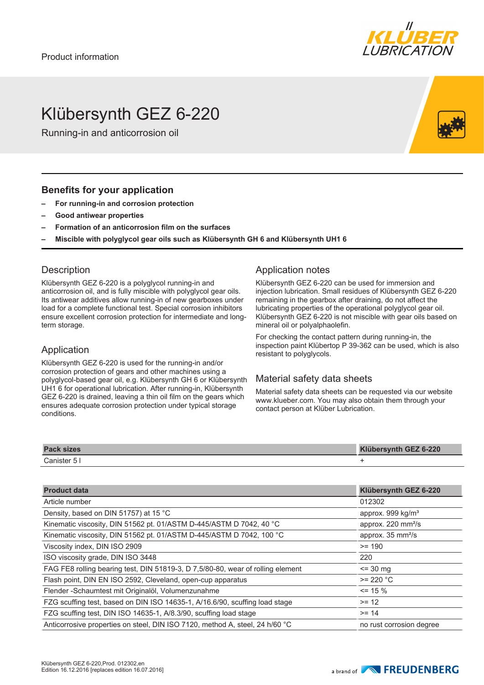

# Klübersynth GEZ 6-220

Running-in and anticorrosion oil

#### **Benefits for your application**

- **– For running-in and corrosion protection**
- **– Good antiwear properties**
- **– Formation of an anticorrosion film on the surfaces**
- **– Miscible with polyglycol gear oils such as Klübersynth GH 6 and Klübersynth UH1 6**

### **Description**

Klübersynth GEZ 6-220 is a polyglycol running-in and anticorrosion oil, and is fully miscible with polyglycol gear oils. Its antiwear additives allow running-in of new gearboxes under load for a complete functional test. Special corrosion inhibitors ensure excellent corrosion protection for intermediate and longterm storage.

### Application

Klübersynth GEZ 6-220 is used for the running-in and/or corrosion protection of gears and other machines using a polyglycol-based gear oil, e.g. Klübersynth GH 6 or Klübersynth UH1 6 for operational lubrication. After running-in, Klübersynth GEZ 6-220 is drained, leaving a thin oil film on the gears which ensures adequate corrosion protection under typical storage conditions.

### Application notes

Klübersynth GEZ 6-220 can be used for immersion and injection lubrication. Small residues of Klübersynth GEZ 6-220 remaining in the gearbox after draining, do not affect the lubricating properties of the operational polyglycol gear oil. Klübersynth GEZ 6-220 is not miscible with gear oils based on mineral oil or polyalphaolefin.

For checking the contact pattern during running-in, the inspection paint Klübertop P 39-362 can be used, which is also resistant to polyglycols.

### Material safety data sheets

Material safety data sheets can be requested via our website www.klueber.com. You may also obtain them through your contact person at Klüber Lubrication.

| <b>Pack sizes</b> | Klübersynth GEZ 6-220 |
|-------------------|-----------------------|
| Canister 5        |                       |

| <b>Product data</b>                                                             | Klübersynth GEZ 6-220               |
|---------------------------------------------------------------------------------|-------------------------------------|
| Article number                                                                  | 012302                              |
| Density, based on DIN 51757) at 15 °C                                           | approx. 999 kg/m <sup>3</sup>       |
| Kinematic viscosity, DIN 51562 pt. 01/ASTM D-445/ASTM D 7042, 40 °C             | approx. $220 \text{ mm}^2\text{/s}$ |
| Kinematic viscosity, DIN 51562 pt. 01/ASTM D-445/ASTM D 7042, 100 °C            | approx. $35 \text{ mm}^2\text{/s}$  |
| Viscosity index, DIN ISO 2909                                                   | $>= 190$                            |
| ISO viscosity grade, DIN ISO 3448                                               | 220                                 |
| FAG FE8 rolling bearing test, DIN 51819-3, D 7,5/80-80, wear of rolling element | $\le$ 30 mg                         |
| Flash point, DIN EN ISO 2592, Cleveland, open-cup apparatus                     | $>= 220 °C$                         |
| Flender - Schaumtest mit Originalöl, Volumenzunahme                             | $\le$ 15 %                          |
| FZG scuffing test, based on DIN ISO 14635-1, A/16.6/90, scuffing load stage     | $>= 12$                             |
| FZG scuffing test, DIN ISO 14635-1, A/8.3/90, scuffing load stage               | $>= 14$                             |
| Anticorrosive properties on steel, DIN ISO 7120, method A, steel, 24 h/60 °C    | no rust corrosion degree            |